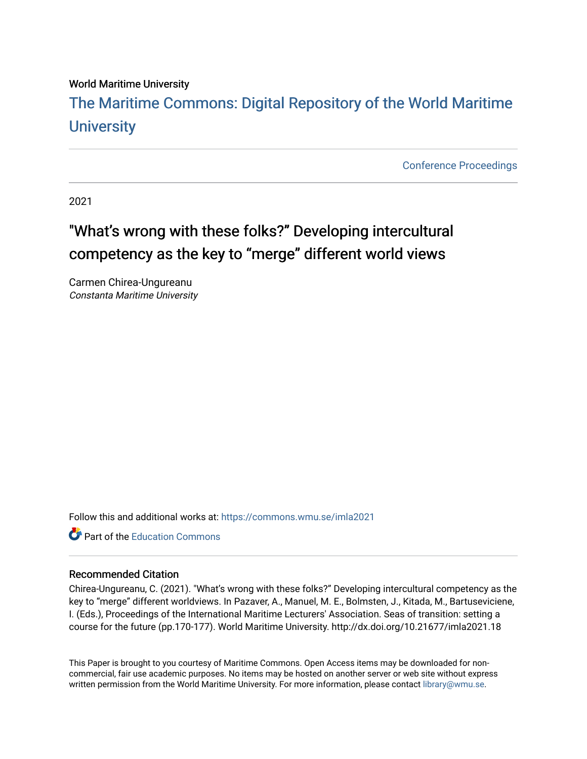#### World Maritime University

# [The Maritime Commons: Digital Repository of the World Maritime](https://commons.wmu.se/)  **University**

[Conference Proceedings](https://commons.wmu.se/proceedings) 

2021

# "What's wrong with these folks?" Developing intercultural competency as the key to "merge" different world views

Carmen Chirea-Ungureanu Constanta Maritime University

Follow this and additional works at: [https://commons.wmu.se/imla2021](https://commons.wmu.se/imla2021?utm_source=commons.wmu.se%2Fimla2021%2F19&utm_medium=PDF&utm_campaign=PDFCoverPages)

**C** Part of the [Education Commons](http://network.bepress.com/hgg/discipline/784?utm_source=commons.wmu.se%2Fimla2021%2F19&utm_medium=PDF&utm_campaign=PDFCoverPages)

#### Recommended Citation

Chirea-Ungureanu, C. (2021). "What's wrong with these folks?" Developing intercultural competency as the key to "merge" different worldviews. In Pazaver, A., Manuel, M. E., Bolmsten, J., Kitada, M., Bartuseviciene, I. (Eds.), Proceedings of the International Maritime Lecturers' Association. Seas of transition: setting a course for the future (pp.170-177). World Maritime University. http://dx.doi.org/10.21677/imla2021.18

This Paper is brought to you courtesy of Maritime Commons. Open Access items may be downloaded for noncommercial, fair use academic purposes. No items may be hosted on another server or web site without express written permission from the World Maritime University. For more information, please contact [library@wmu.se](mailto:library@wmu.edu).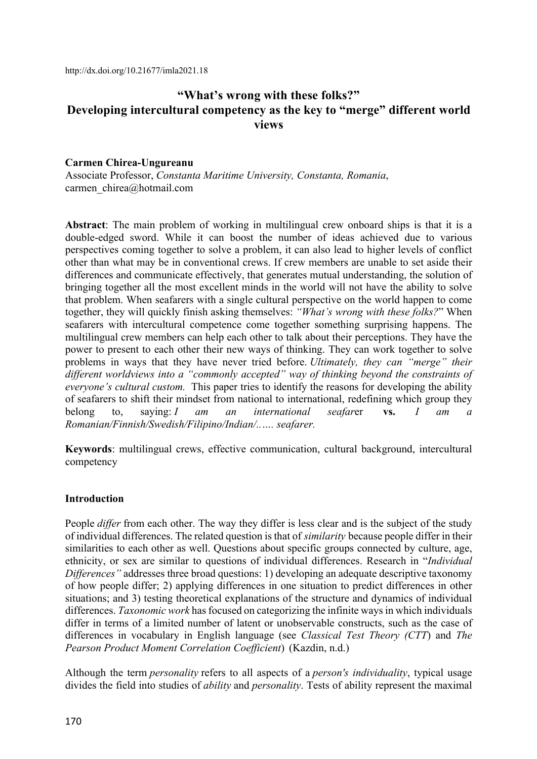http://dx.doi.org/10.21677/imla2021.18

## **"What's wrong with these folks?" Developing intercultural competency as the key to "merge" different world views**

#### **Carmen Chirea-Ungureanu**

Associate Professor, *Constanta Maritime University, Constanta, Romania*, carmen\_chirea@hotmail.com

**Abstract**: The main problem of working in multilingual crew onboard ships is that it is a double-edged sword. While it can boost the number of ideas achieved due to various perspectives coming together to solve a problem, it can also lead to higher levels of conflict other than what may be in conventional crews. If crew members are unable to set aside their differences and communicate effectively, that generates mutual understanding, the solution of bringing together all the most excellent minds in the world will not have the ability to solve that problem. When seafarers with a single cultural perspective on the world happen to come together, they will quickly finish asking themselves: *"What's wrong with these folks?*" When seafarers with intercultural competence come together something surprising happens. The multilingual crew members can help each other to talk about their perceptions. They have the power to present to each other their new ways of thinking. They can work together to solve problems in ways that they have never tried before. *Ultimately, they can "merge" their different worldviews into a "commonly accepted" way of thinking beyond the constraints of everyone's cultural custom.* This paper tries to identify the reasons for developing the ability of seafarers to shift their mindset from national to international, redefining which group they belong to, saying: *I am an international seafar*er **vs.** *I am a Romanian/Finnish/Swedish/Filipino/Indian/..…. seafarer.*

**Keywords**: multilingual crews, effective communication, cultural background, intercultural competency

#### **Introduction**

People *differ* from each other. The way they differ is less clear and is the subject of the study of individual differences. The related question is that of *similarity* because people differ in their similarities to each other as well. Questions about specific groups connected by culture, age, ethnicity, or sex are similar to questions of individual differences. Research in "*Individual Differences"* addresses three broad questions: 1) developing an adequate descriptive taxonomy of how people differ; 2) applying differences in one situation to predict differences in other situations; and 3) testing theoretical explanations of the structure and dynamics of individual differences. *Taxonomic work* has focused on categorizing the infinite ways in which individuals differ in terms of a limited number of latent or unobservable constructs, such as the case of differences in vocabulary in English language (see *Classical Test Theory (CTT*) and *The Pearson Product Moment Correlation Coefficient*) (Kazdin, n.d.)

Although the term *personality* refers to all aspects of a *person's individuality*, typical usage divides the field into studies of *ability* and *personality*. Tests of ability represent the maximal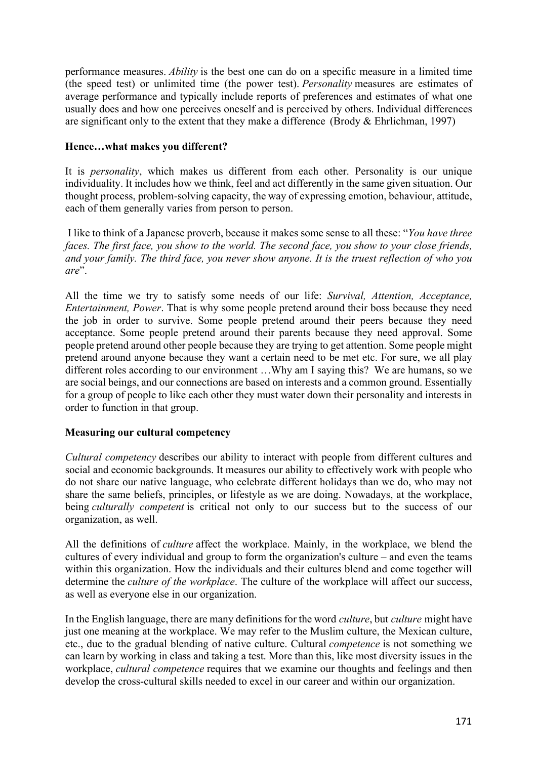performance measures. *Ability* is the best one can do on a specific measure in a limited time (the speed test) or unlimited time (the power test). *Personality* measures are estimates of average performance and typically include reports of preferences and estimates of what one usually does and how one perceives oneself and is perceived by others. Individual differences are significant only to the extent that they make a difference (Brody & Ehrlichman, 1997)

## **Hence…what makes you different?**

It is *personality*, which makes us different from each other. Personality is our unique individuality. It includes how we think, feel and act differently in the same given situation. Our thought process, problem-solving capacity, the way of expressing emotion, behaviour, attitude, each of them generally varies from person to person.

I like to think of a Japanese proverb, because it makes some sense to all these: "*You have three faces. The first face, you show to the world. The second face, you show to your close friends, and your family. The third face, you never show anyone. It is the truest reflection of who you are*".

All the time we try to satisfy some needs of our life: *Survival, Attention, Acceptance, Entertainment, Power*. That is why some people pretend around their boss because they need the job in order to survive. Some people pretend around their peers because they need acceptance. Some people pretend around their parents because they need approval. Some people pretend around other people because they are trying to get attention. Some people might pretend around anyone because they want a certain need to be met etc. For sure, we all play different roles according to our environment …Why am I saying this? We are humans, so we are social beings, and our connections are based on interests and a common ground. Essentially for a group of people to like each other they must water down their personality and interests in order to function in that group.

## **Measuring our cultural competency**

*Cultural competency* describes our ability to interact with people from different cultures and social and economic backgrounds. It measures our ability to effectively work with people who do not share our native language, who celebrate different holidays than we do, who may not share the same beliefs, principles, or lifestyle as we are doing. Nowadays, at the workplace, being *culturally competent* is critical not only to our success but to the success of our organization, as well.

All the definitions of *culture* affect the workplace. Mainly, in the workplace, we blend the cultures of every individual and group to form the organization's culture – and even the teams within this organization. How the individuals and their cultures blend and come together will determine the *culture of the workplace*. The culture of the workplace will affect our success, as well as everyone else in our organization.

In the English language, there are many definitions for the word *culture*, but *culture* might have just one meaning at the workplace. We may refer to the Muslim culture, the Mexican culture, etc., due to the gradual blending of native culture. Cultural *competence* is not something we can learn by working in class and taking a test. More than this, like most diversity issues in the workplace, *cultural competence* requires that we examine our thoughts and feelings and then develop the cross-cultural skills needed to excel in our career and within our organization.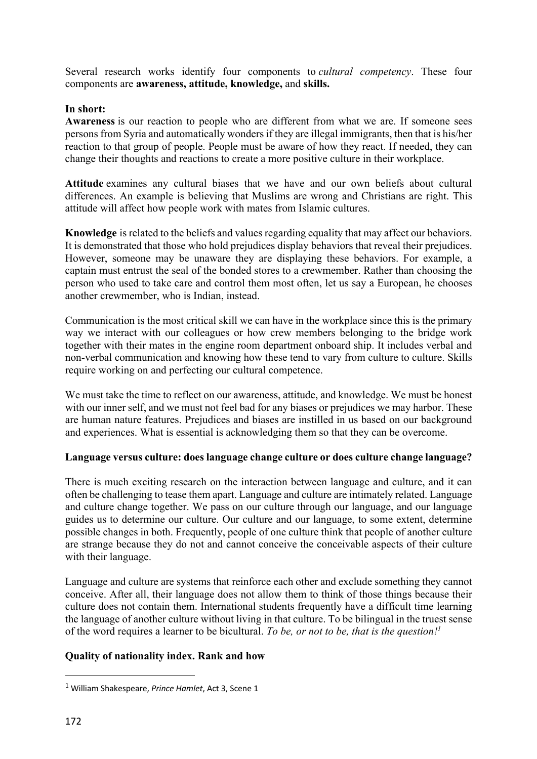Several research works identify four components to *cultural competency*. These four components are **awareness, attitude, knowledge,** and **skills.**

## **In short:**

**Awareness** is our reaction to people who are different from what we are. If someone sees persons from Syria and automatically wonders if they are illegal immigrants, then that is his/her reaction to that group of people. People must be aware of how they react. If needed, they can change their thoughts and reactions to create a more positive culture in their workplace.

**Attitude** examines any cultural biases that we have and our own beliefs about cultural differences. An example is believing that Muslims are wrong and Christians are right. This attitude will affect how people work with mates from Islamic cultures.

**Knowledge** is related to the beliefs and values regarding equality that may affect our behaviors. It is demonstrated that those who hold prejudices display behaviors that reveal their prejudices. However, someone may be unaware they are displaying these behaviors. For example, a captain must entrust the seal of the bonded stores to a crewmember. Rather than choosing the person who used to take care and control them most often, let us say a European, he chooses another crewmember, who is Indian, instead.

Communication is the most critical skill we can have in the workplace since this is the primary way we interact with our colleagues or how crew members belonging to the bridge work together with their mates in the engine room department onboard ship. It includes verbal and non-verbal communication and knowing how these tend to vary from culture to culture. Skills require working on and perfecting our cultural competence.

We must take the time to reflect on our awareness, attitude, and knowledge. We must be honest with our inner self, and we must not feel bad for any biases or prejudices we may harbor. These are human nature features. Prejudices and biases are instilled in us based on our background and experiences. What is essential is acknowledging them so that they can be overcome.

## **Language versus culture: does language change culture or does culture change language?**

There is much exciting research on the interaction between language and culture, and it can often be challenging to tease them apart. Language and culture are intimately related. Language and culture change together. We pass on our culture through our language, and our language guides us to determine our culture. Our culture and our language, to some extent, determine possible changes in both. Frequently, people of one culture think that people of another culture are strange because they do not and cannot conceive the conceivable aspects of their culture with their language.

Language and culture are systems that reinforce each other and exclude something they cannot conceive. After all, their language does not allow them to think of those things because their culture does not contain them. International students frequently have a difficult time learning the language of another culture without living in that culture. To be bilingual in the truest sense of the word requires a learner to be bicultural. *To be, or not to be, that is the question!1*

## **Quality of nationality index. Rank and how**

<sup>1</sup> William Shakespeare, *Prince Hamlet*, Act 3, Scene 1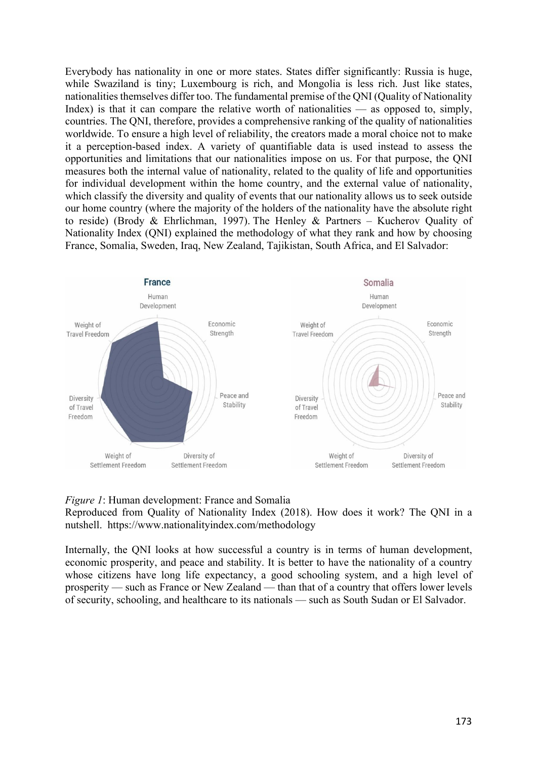Everybody has nationality in one or more states. States differ significantly: Russia is huge, while Swaziland is tiny; Luxembourg is rich, and Mongolia is less rich. Just like states, nationalities themselves differ too. The fundamental premise of the QNI (Quality of Nationality Index) is that it can compare the relative worth of nationalities — as opposed to, simply, countries. The QNI, therefore, provides a comprehensive ranking of the quality of nationalities worldwide. To ensure a high level of reliability, the creators made a moral choice not to make it a perception-based index. A variety of quantifiable data is used instead to assess the opportunities and limitations that our nationalities impose on us. For that purpose, the QNI measures both the internal value of nationality, related to the quality of life and opportunities for individual development within the home country, and the external value of nationality, which classify the diversity and quality of events that our nationality allows us to seek outside our home country (where the majority of the holders of the nationality have the absolute right to reside) (Brody & Ehrlichman, 1997). The Henley & Partners – Kucherov Quality of Nationality Index (QNI) explained the methodology of what they rank and how by choosing France, Somalia, Sweden, Iraq, New Zealand, Tajikistan, South Africa, and El Salvador:



#### *Figure 1*: Human development: France and Somalia

Reproduced from Quality of Nationality Index (2018). How does it work? The QNI in a nutshell. https://www.nationalityindex.com/methodology

Internally, the QNI looks at how successful a country is in terms of human development, economic prosperity, and peace and stability. It is better to have the nationality of a country whose citizens have long life expectancy, a good schooling system, and a high level of prosperity — such as France or New Zealand — than that of a country that offers lower levels of security, schooling, and healthcare to its nationals — such as South Sudan or El Salvador.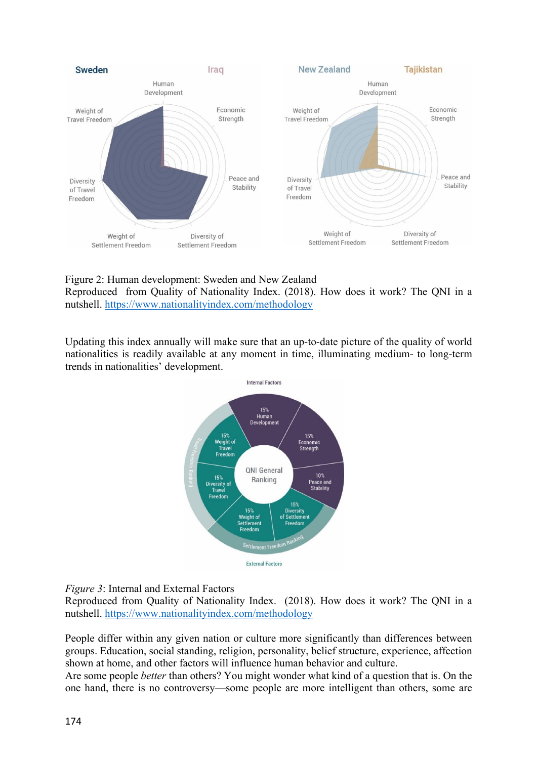

## Figure 2: Human development: Sweden and New Zealand

Reproduced from Quality of Nationality Index. (2018). How does it work? The QNI in a nutshell. https://www.nationalityindex.com/methodology

Updating this index annually will make sure that an up-to-date picture of the quality of world nationalities is readily available at any moment in time, illuminating medium- to long-term trends in nationalities' development.



*Figure 3*: Internal and External Factors

Reproduced from Quality of Nationality Index. (2018). How does it work? The QNI in a nutshell. https://www.nationalityindex.com/methodology

People differ within any given nation or culture more significantly than differences between groups. Education, social standing, religion, personality, belief structure, experience, affection shown at home, and other factors will influence human behavior and culture.

Are some people *better* than others? You might wonder what kind of a question that is. On the one hand, there is no controversy—some people are more intelligent than others, some are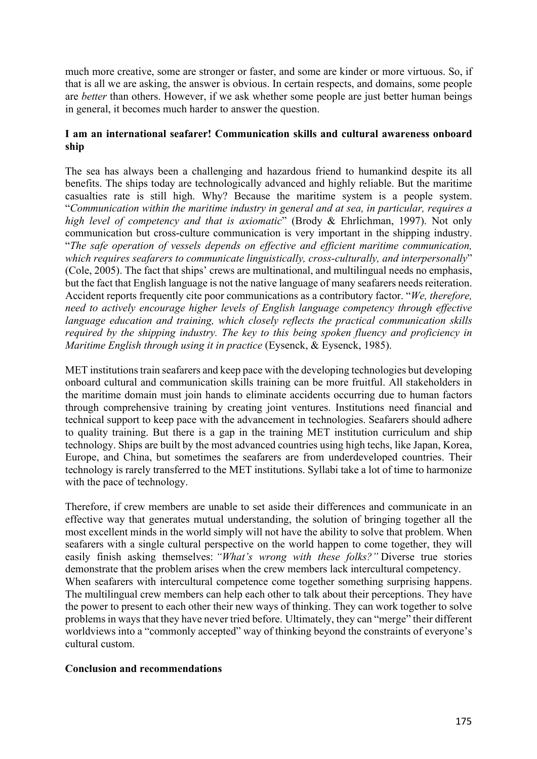much more creative, some are stronger or faster, and some are kinder or more virtuous. So, if that is all we are asking, the answer is obvious. In certain respects, and domains, some people are *better* than others. However, if we ask whether some people are just better human beings in general, it becomes much harder to answer the question.

## **I am an international seafarer! Communication skills and cultural awareness onboard ship**

The sea has always been a challenging and hazardous friend to humankind despite its all benefits. The ships today are technologically advanced and highly reliable. But the maritime casualties rate is still high. Why? Because the maritime system is a people system. "*Communication within the maritime industry in general and at sea, in particular, requires a high level of competency and that is axiomatic*" (Brody & Ehrlichman, 1997). Not only communication but cross-culture communication is very important in the shipping industry. "*The safe operation of vessels depends on effective and efficient maritime communication, which requires seafarers to communicate linguistically, cross-culturally, and interpersonally*" (Cole, 2005). The fact that ships' crews are multinational, and multilingual needs no emphasis, but the fact that English language is not the native language of many seafarers needs reiteration. Accident reports frequently cite poor communications as a contributory factor. "*We, therefore, need to actively encourage higher levels of English language competency through effective language education and training, which closely reflects the practical communication skills required by the shipping industry. The key to this being spoken fluency and proficiency in Maritime English through using it in practice* (Eysenck, & Eysenck, 1985).

MET institutions train seafarers and keep pace with the developing technologies but developing onboard cultural and communication skills training can be more fruitful. All stakeholders in the maritime domain must join hands to eliminate accidents occurring due to human factors through comprehensive training by creating joint ventures. Institutions need financial and technical support to keep pace with the advancement in technologies. Seafarers should adhere to quality training. But there is a gap in the training MET institution curriculum and ship technology. Ships are built by the most advanced countries using high techs, like Japan, Korea, Europe, and China, but sometimes the seafarers are from underdeveloped countries. Their technology is rarely transferred to the MET institutions. Syllabi take a lot of time to harmonize with the pace of technology.

Therefore, if crew members are unable to set aside their differences and communicate in an effective way that generates mutual understanding, the solution of bringing together all the most excellent minds in the world simply will not have the ability to solve that problem. When seafarers with a single cultural perspective on the world happen to come together, they will easily finish asking themselves: *"What's wrong with these folks?"* Diverse true stories demonstrate that the problem arises when the crew members lack intercultural competency. When seafarers with intercultural competence come together something surprising happens. The multilingual crew members can help each other to talk about their perceptions. They have the power to present to each other their new ways of thinking. They can work together to solve problems in ways that they have never tried before. Ultimately, they can "merge" their different worldviews into a "commonly accepted" way of thinking beyond the constraints of everyone's cultural custom.

#### **Conclusion and recommendations**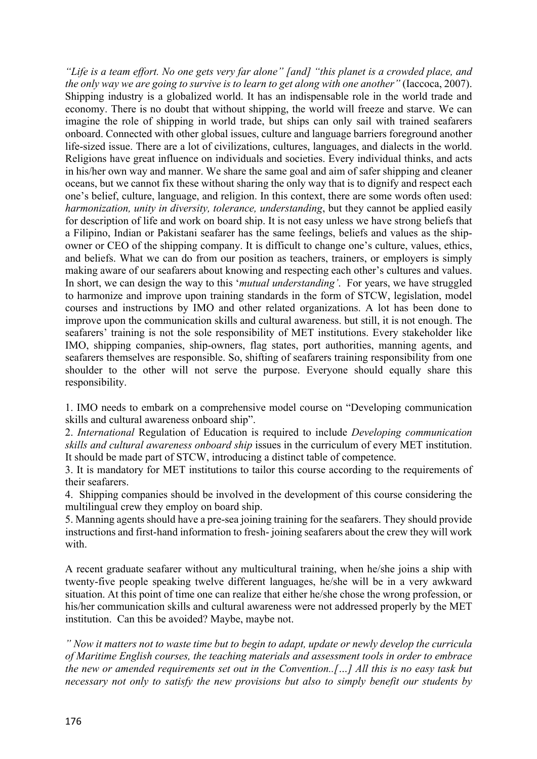*"Life is a team effort. No one gets very far alone" [and] "this planet is a crowded place, and the only way we are going to survive is to learn to get along with one another"* (Iaccoca, 2007). Shipping industry is a globalized world. It has an indispensable role in the world trade and economy. There is no doubt that without shipping, the world will freeze and starve. We can imagine the role of shipping in world trade, but ships can only sail with trained seafarers onboard. Connected with other global issues, culture and language barriers foreground another life-sized issue. There are a lot of civilizations, cultures, languages, and dialects in the world. Religions have great influence on individuals and societies. Every individual thinks, and acts in his/her own way and manner. We share the same goal and aim of safer shipping and cleaner oceans, but we cannot fix these without sharing the only way that is to dignify and respect each one's belief, culture, language, and religion. In this context, there are some words often used: *harmonization, unity in diversity, tolerance, understanding*, but they cannot be applied easily for description of life and work on board ship. It is not easy unless we have strong beliefs that a Filipino, Indian or Pakistani seafarer has the same feelings, beliefs and values as the shipowner or CEO of the shipping company. It is difficult to change one's culture, values, ethics, and beliefs. What we can do from our position as teachers, trainers, or employers is simply making aware of our seafarers about knowing and respecting each other's cultures and values. In short, we can design the way to this '*mutual understanding'*. For years, we have struggled to harmonize and improve upon training standards in the form of STCW, legislation, model courses and instructions by IMO and other related organizations. A lot has been done to improve upon the communication skills and cultural awareness. but still, it is not enough. The seafarers' training is not the sole responsibility of MET institutions. Every stakeholder like IMO, shipping companies, ship-owners, flag states, port authorities, manning agents, and seafarers themselves are responsible. So, shifting of seafarers training responsibility from one shoulder to the other will not serve the purpose. Everyone should equally share this responsibility.

1. IMO needs to embark on a comprehensive model course on "Developing communication skills and cultural awareness onboard ship".

2. *International* Regulation of Education is required to include *Developing communication skills and cultural awareness onboard ship* issues in the curriculum of every MET institution. It should be made part of STCW, introducing a distinct table of competence.

3. It is mandatory for MET institutions to tailor this course according to the requirements of their seafarers.

4. Shipping companies should be involved in the development of this course considering the multilingual crew they employ on board ship.

5. Manning agents should have a pre-sea joining training for the seafarers. They should provide instructions and first-hand information to fresh- joining seafarers about the crew they will work with.

A recent graduate seafarer without any multicultural training, when he/she joins a ship with twenty-five people speaking twelve different languages, he/she will be in a very awkward situation. At this point of time one can realize that either he/she chose the wrong profession, or his/her communication skills and cultural awareness were not addressed properly by the MET institution. Can this be avoided? Maybe, maybe not.

*" Now it matters not to waste time but to begin to adapt, update or newly develop the curricula of Maritime English courses, the teaching materials and assessment tools in order to embrace the new or amended requirements set out in the Convention..[…] All this is no easy task but necessary not only to satisfy the new provisions but also to simply benefit our students by*